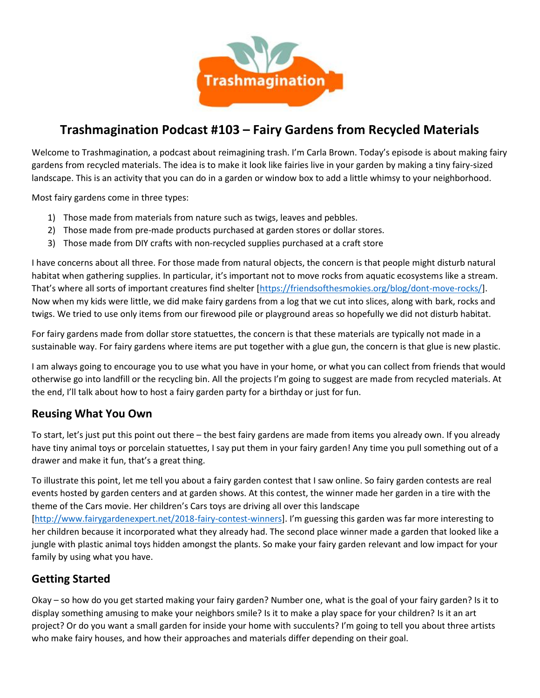

# **Trashmagination Podcast #103 – Fairy Gardens from Recycled Materials**

Welcome to Trashmagination, a podcast about reimagining trash. I'm Carla Brown. Today's episode is about making fairy gardens from recycled materials. The idea is to make it look like fairies live in your garden by making a tiny fairy-sized landscape. This is an activity that you can do in a garden or window box to add a little whimsy to your neighborhood.

Most fairy gardens come in three types:

- 1) Those made from materials from nature such as twigs, leaves and pebbles.
- 2) Those made from pre-made products purchased at garden stores or dollar stores.
- 3) Those made from DIY crafts with non-recycled supplies purchased at a craft store

I have concerns about all three. For those made from natural objects, the concern is that people might disturb natural habitat when gathering supplies. In particular, it's important not to move rocks from aquatic ecosystems like a stream. That's where all sorts of important creatures find shelter [https://friendsofthesmokies.org/blog/dont-move-rocks/]. Now when my kids were little, we did make fairy gardens from a log that we cut into slices, along with bark, rocks and twigs. We tried to use only items from our firewood pile or playground areas so hopefully we did not disturb habitat.

For fairy gardens made from dollar store statuettes, the concern is that these materials are typically not made in a sustainable way. For fairy gardens where items are put together with a glue gun, the concern is that glue is new plastic.

I am always going to encourage you to use what you have in your home, or what you can collect from friends that would otherwise go into landfill or the recycling bin. All the projects I'm going to suggest are made from recycled materials. At the end, I'll talk about how to host a fairy garden party for a birthday or just for fun.

#### **Reusing What You Own**

To start, let's just put this point out there – the best fairy gardens are made from items you already own. If you already have tiny animal toys or porcelain statuettes, I say put them in your fairy garden! Any time you pull something out of a drawer and make it fun, that's a great thing.

To illustrate this point, let me tell you about a fairy garden contest that I saw online. So fairy garden contests are real events hosted by garden centers and at garden shows. At this contest, the winner made her garden in a tire with the theme of the Cars movie. Her children's Cars toys are driving all over this landscape

[http://www.fairygardenexpert.net/2018-fairy-contest-winners]. I'm guessing this garden was far more interesting to her children because it incorporated what they already had. The second place winner made a garden that looked like a jungle with plastic animal toys hidden amongst the plants. So make your fairy garden relevant and low impact for your family by using what you have.

#### **Getting Started**

Okay – so how do you get started making your fairy garden? Number one, what is the goal of your fairy garden? Is it to display something amusing to make your neighbors smile? Is it to make a play space for your children? Is it an art project? Or do you want a small garden for inside your home with succulents? I'm going to tell you about three artists who make fairy houses, and how their approaches and materials differ depending on their goal.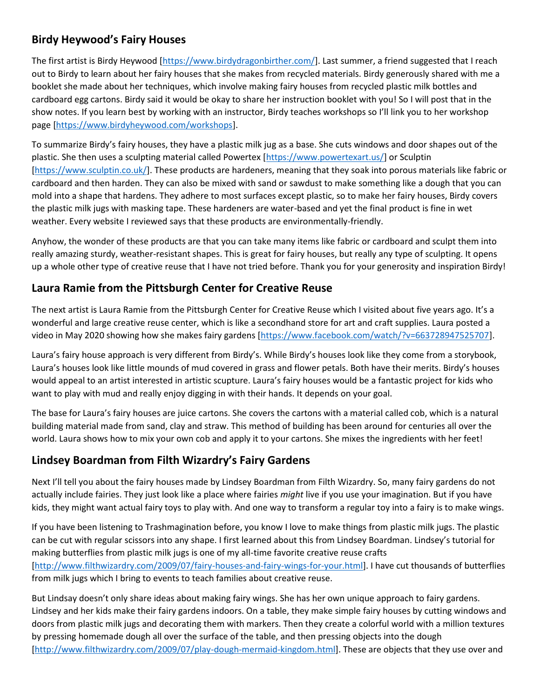# **Birdy Heywood's Fairy Houses**

The first artist is Birdy Heywood [https://www.birdydragonbirther.com/]. Last summer, a friend suggested that I reach out to Birdy to learn about her fairy houses that she makes from recycled materials. Birdy generously shared with me a booklet she made about her techniques, which involve making fairy houses from recycled plastic milk bottles and cardboard egg cartons. Birdy said it would be okay to share her instruction booklet with you! So I will post that in the show notes. If you learn best by working with an instructor, Birdy teaches workshops so I'll link you to her workshop page [https://www.birdyheywood.com/workshops].

To summarize Birdy's fairy houses, they have a plastic milk jug as a base. She cuts windows and door shapes out of the plastic. She then uses a sculpting material called Powertex [https://www.powertexart.us/] or Sculptin [https://www.sculptin.co.uk/]. These products are hardeners, meaning that they soak into porous materials like fabric or cardboard and then harden. They can also be mixed with sand or sawdust to make something like a dough that you can mold into a shape that hardens. They adhere to most surfaces except plastic, so to make her fairy houses, Birdy covers the plastic milk jugs with masking tape. These hardeners are water-based and yet the final product is fine in wet weather. Every website I reviewed says that these products are environmentally-friendly.

Anyhow, the wonder of these products are that you can take many items like fabric or cardboard and sculpt them into really amazing sturdy, weather-resistant shapes. This is great for fairy houses, but really any type of sculpting. It opens up a whole other type of creative reuse that I have not tried before. Thank you for your generosity and inspiration Birdy!

#### **Laura Ramie from the Pittsburgh Center for Creative Reuse**

The next artist is Laura Ramie from the Pittsburgh Center for Creative Reuse which I visited about five years ago. It's a wonderful and large creative reuse center, which is like a secondhand store for art and craft supplies. Laura posted a video in May 2020 showing how she makes fairy gardens [https://www.facebook.com/watch/?v=663728947525707].

Laura's fairy house approach is very different from Birdy's. While Birdy's houses look like they come from a storybook, Laura's houses look like little mounds of mud covered in grass and flower petals. Both have their merits. Birdy's houses would appeal to an artist interested in artistic scupture. Laura's fairy houses would be a fantastic project for kids who want to play with mud and really enjoy digging in with their hands. It depends on your goal.

The base for Laura's fairy houses are juice cartons. She covers the cartons with a material called cob, which is a natural building material made from sand, clay and straw. This method of building has been around for centuries all over the world. Laura shows how to mix your own cob and apply it to your cartons. She mixes the ingredients with her feet!

#### **Lindsey Boardman from Filth Wizardry's Fairy Gardens**

Next I'll tell you about the fairy houses made by Lindsey Boardman from Filth Wizardry. So, many fairy gardens do not actually include fairies. They just look like a place where fairies *might* live if you use your imagination. But if you have kids, they might want actual fairy toys to play with. And one way to transform a regular toy into a fairy is to make wings.

If you have been listening to Trashmagination before, you know I love to make things from plastic milk jugs. The plastic can be cut with regular scissors into any shape. I first learned about this from Lindsey Boardman. Lindsey's tutorial for making butterflies from plastic milk jugs is one of my all-time favorite creative reuse crafts [http://www.filthwizardry.com/2009/07/fairy-houses-and-fairy-wings-for-your.html]. I have cut thousands of butterflies from milk jugs which I bring to events to teach families about creative reuse.

But Lindsay doesn't only share ideas about making fairy wings. She has her own unique approach to fairy gardens. Lindsey and her kids make their fairy gardens indoors. On a table, they make simple fairy houses by cutting windows and doors from plastic milk jugs and decorating them with markers. Then they create a colorful world with a million textures by pressing homemade dough all over the surface of the table, and then pressing objects into the dough [http://www.filthwizardry.com/2009/07/play-dough-mermaid-kingdom.html]. These are objects that they use over and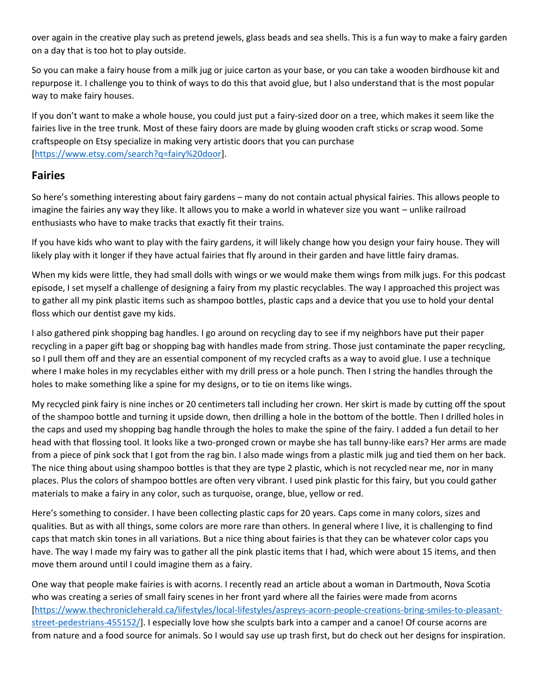over again in the creative play such as pretend jewels, glass beads and sea shells. This is a fun way to make a fairy garden on a day that is too hot to play outside.

So you can make a fairy house from a milk jug or juice carton as your base, or you can take a wooden birdhouse kit and repurpose it. I challenge you to think of ways to do this that avoid glue, but I also understand that is the most popular way to make fairy houses.

If you don't want to make a whole house, you could just put a fairy-sized door on a tree, which makes it seem like the fairies live in the tree trunk. Most of these fairy doors are made by gluing wooden craft sticks or scrap wood. Some craftspeople on Etsy specialize in making very artistic doors that you can purchase [https://www.etsy.com/search?q=fairy%20door].

#### **Fairies**

So here's something interesting about fairy gardens – many do not contain actual physical fairies. This allows people to imagine the fairies any way they like. It allows you to make a world in whatever size you want – unlike railroad enthusiasts who have to make tracks that exactly fit their trains.

If you have kids who want to play with the fairy gardens, it will likely change how you design your fairy house. They will likely play with it longer if they have actual fairies that fly around in their garden and have little fairy dramas.

When my kids were little, they had small dolls with wings or we would make them wings from milk jugs. For this podcast episode, I set myself a challenge of designing a fairy from my plastic recyclables. The way I approached this project was to gather all my pink plastic items such as shampoo bottles, plastic caps and a device that you use to hold your dental floss which our dentist gave my kids.

I also gathered pink shopping bag handles. I go around on recycling day to see if my neighbors have put their paper recycling in a paper gift bag or shopping bag with handles made from string. Those just contaminate the paper recycling, so I pull them off and they are an essential component of my recycled crafts as a way to avoid glue. I use a technique where I make holes in my recyclables either with my drill press or a hole punch. Then I string the handles through the holes to make something like a spine for my designs, or to tie on items like wings.

My recycled pink fairy is nine inches or 20 centimeters tall including her crown. Her skirt is made by cutting off the spout of the shampoo bottle and turning it upside down, then drilling a hole in the bottom of the bottle. Then I drilled holes in the caps and used my shopping bag handle through the holes to make the spine of the fairy. I added a fun detail to her head with that flossing tool. It looks like a two-pronged crown or maybe she has tall bunny-like ears? Her arms are made from a piece of pink sock that I got from the rag bin. I also made wings from a plastic milk jug and tied them on her back. The nice thing about using shampoo bottles is that they are type 2 plastic, which is not recycled near me, nor in many places. Plus the colors of shampoo bottles are often very vibrant. I used pink plastic for this fairy, but you could gather materials to make a fairy in any color, such as turquoise, orange, blue, yellow or red.

Here's something to consider. I have been collecting plastic caps for 20 years. Caps come in many colors, sizes and qualities. But as with all things, some colors are more rare than others. In general where I live, it is challenging to find caps that match skin tones in all variations. But a nice thing about fairies is that they can be whatever color caps you have. The way I made my fairy was to gather all the pink plastic items that I had, which were about 15 items, and then move them around until I could imagine them as a fairy.

One way that people make fairies is with acorns. I recently read an article about a woman in Dartmouth, Nova Scotia who was creating a series of small fairy scenes in her front yard where all the fairies were made from acorns [https://www.thechronicleherald.ca/lifestyles/local-lifestyles/aspreys-acorn-people-creations-bring-smiles-to-pleasant street-pedestrians-455152/]. I especially love how she sculpts bark into a camper and a canoe! Of course acorns are from nature and a food source for animals. So I would say use up trash first, but do check out her designs for inspiration.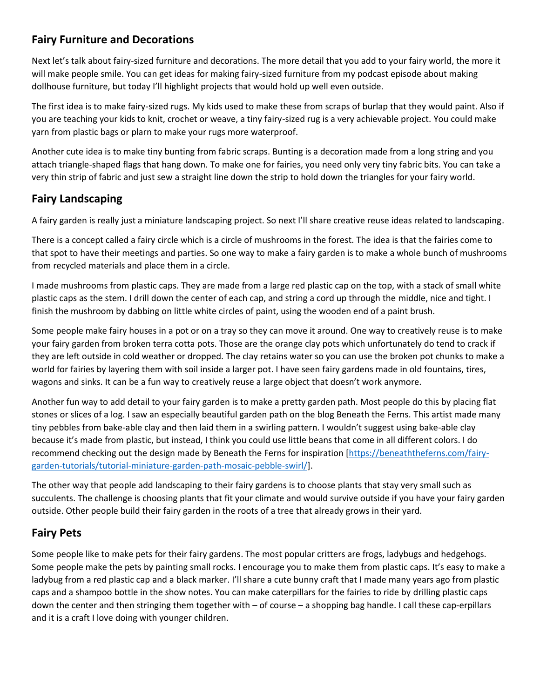# **Fairy Furniture and Decorations**

Next let's talk about fairy-sized furniture and decorations. The more detail that you add to your fairy world, the more it will make people smile. You can get ideas for making fairy-sized furniture from my podcast episode about making dollhouse furniture, but today I'll highlight projects that would hold up well even outside.

The first idea is to make fairy-sized rugs. My kids used to make these from scraps of burlap that they would paint. Also if you are teaching your kids to knit, crochet or weave, a tiny fairy-sized rug is a very achievable project. You could make yarn from plastic bags or plarn to make your rugs more waterproof.

Another cute idea is to make tiny bunting from fabric scraps. Bunting is a decoration made from a long string and you attach triangle-shaped flags that hang down. To make one for fairies, you need only very tiny fabric bits. You can take a very thin strip of fabric and just sew a straight line down the strip to hold down the triangles for your fairy world.

### **Fairy Landscaping**

A fairy garden is really just a miniature landscaping project. So next I'll share creative reuse ideas related to landscaping.

There is a concept called a fairy circle which is a circle of mushrooms in the forest. The idea is that the fairies come to that spot to have their meetings and parties. So one way to make a fairy garden is to make a whole bunch of mushrooms from recycled materials and place them in a circle.

I made mushrooms from plastic caps. They are made from a large red plastic cap on the top, with a stack of small white plastic caps as the stem. I drill down the center of each cap, and string a cord up through the middle, nice and tight. I finish the mushroom by dabbing on little white circles of paint, using the wooden end of a paint brush.

Some people make fairy houses in a pot or on a tray so they can move it around. One way to creatively reuse is to make your fairy garden from broken terra cotta pots. Those are the orange clay pots which unfortunately do tend to crack if they are left outside in cold weather or dropped. The clay retains water so you can use the broken pot chunks to make a world for fairies by layering them with soil inside a larger pot. I have seen fairy gardens made in old fountains, tires, wagons and sinks. It can be a fun way to creatively reuse a large object that doesn't work anymore.

Another fun way to add detail to your fairy garden is to make a pretty garden path. Most people do this by placing flat stones or slices of a log. I saw an especially beautiful garden path on the blog Beneath the Ferns. This artist made many tiny pebbles from bake-able clay and then laid them in a swirling pattern. I wouldn't suggest using bake-able clay because it's made from plastic, but instead, I think you could use little beans that come in all different colors. I do recommend checking out the design made by Beneath the Ferns for inspiration [https://beneaththeferns.com/fairy garden-tutorials/tutorial-miniature-garden-path-mosaic-pebble-swirl/].

The other way that people add landscaping to their fairy gardens is to choose plants that stay very small such as succulents. The challenge is choosing plants that fit your climate and would survive outside if you have your fairy garden outside. Other people build their fairy garden in the roots of a tree that already grows in their yard.

# **Fairy Pets**

Some people like to make pets for their fairy gardens. The most popular critters are frogs, ladybugs and hedgehogs. Some people make the pets by painting small rocks. I encourage you to make them from plastic caps. It's easy to make a ladybug from a red plastic cap and a black marker. I'll share a cute bunny craft that I made many years ago from plastic caps and a shampoo bottle in the show notes. You can make caterpillars for the fairies to ride by drilling plastic caps down the center and then stringing them together with – of course – a shopping bag handle. I call these cap-erpillars and it is a craft I love doing with younger children.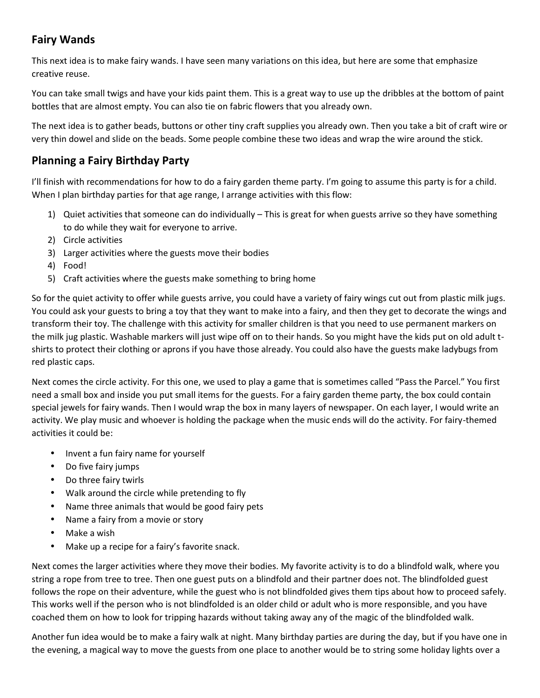# **Fairy Wands**

This next idea is to make fairy wands. I have seen many variations on this idea, but here are some that emphasize creative reuse.

You can take small twigs and have your kids paint them. This is a great way to use up the dribbles at the bottom of paint bottles that are almost empty. You can also tie on fabric flowers that you already own.

The next idea is to gather beads, buttons or other tiny craft supplies you already own. Then you take a bit of craft wire or very thin dowel and slide on the beads. Some people combine these two ideas and wrap the wire around the stick.

#### **Planning a Fairy Birthday Party**

I'll finish with recommendations for how to do a fairy garden theme party. I'm going to assume this party is for a child. When I plan birthday parties for that age range, I arrange activities with this flow:

- 1) Quiet activities that someone can do individually This is great for when guests arrive so they have something to do while they wait for everyone to arrive.
- 2) Circle activities
- 3) Larger activities where the guests move their bodies
- 4) Food!
- 5) Craft activities where the guests make something to bring home

So for the quiet activity to offer while guests arrive, you could have a variety of fairy wings cut out from plastic milk jugs. You could ask your guests to bring a toy that they want to make into a fairy, and then they get to decorate the wings and transform their toy. The challenge with this activity for smaller children is that you need to use permanent markers on the milk jug plastic. Washable markers will just wipe off on to their hands. So you might have the kids put on old adult t shirts to protect their clothing or aprons if you have those already. You could also have the guests make ladybugs from red plastic caps.

Next comes the circle activity. For this one, we used to play a game that is sometimes called "Pass the Parcel." You first need a small box and inside you put small items for the guests. For a fairy garden theme party, the box could contain special jewels for fairy wands. Then I would wrap the box in many layers of newspaper. On each layer, I would write an activity. We play music and whoever is holding the package when the music ends will do the activity. For fairy-themed activities it could be:

- Invent a fun fairy name for yourself
- Do five fairy jumps
- Do three fairy twirls
- Walk around the circle while pretending to fly
- Name three animals that would be good fairy pets
- Name a fairy from a movie or story
- Make a wish
- Make up a recipe for a fairy's favorite snack.

Next comes the larger activities where they move their bodies. My favorite activity is to do a blindfold walk, where you string a rope from tree to tree. Then one guest puts on a blindfold and their partner does not. The blindfolded guest follows the rope on their adventure, while the guest who is not blindfolded gives them tips about how to proceed safely. This works well if the person who is not blindfolded is an older child or adult who is more responsible, and you have coached them on how to look for tripping hazards without taking away any of the magic of the blindfolded walk.

Another fun idea would be to make a fairy walk at night. Many birthday parties are during the day, but if you have one in the evening, a magical way to move the guests from one place to another would be to string some holiday lights over a